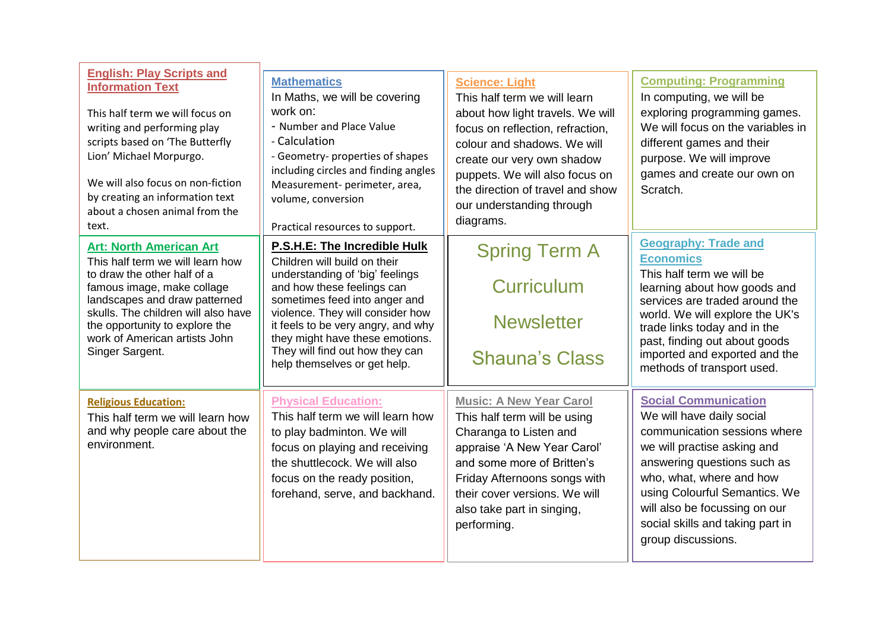| <b>English: Play Scripts and</b><br><b>Information Text</b><br>This half term we will focus on<br>writing and performing play<br>scripts based on 'The Butterfly<br>Lion' Michael Morpurgo.<br>We will also focus on non-fiction<br>by creating an information text<br>about a chosen animal from the<br>text. | <b>Mathematics</b><br>In Maths, we will be covering<br>work on:<br>- Number and Place Value<br>- Calculation<br>- Geometry- properties of shapes<br>including circles and finding angles<br>Measurement- perimeter, area,<br>volume, conversion<br>Practical resources to support.                                                             | <b>Science: Light</b><br>This half term we will learn<br>about how light travels. We will<br>focus on reflection, refraction,<br>colour and shadows. We will<br>create our very own shadow<br>puppets. We will also focus on<br>the direction of travel and show<br>our understanding through<br>diagrams. | <b>Computing: Programming</b><br>In computing, we will be<br>exploring programming games.<br>We will focus on the variables in<br>different games and their<br>purpose. We will improve<br>games and create our own on<br>Scratch.                                                                                |
|----------------------------------------------------------------------------------------------------------------------------------------------------------------------------------------------------------------------------------------------------------------------------------------------------------------|------------------------------------------------------------------------------------------------------------------------------------------------------------------------------------------------------------------------------------------------------------------------------------------------------------------------------------------------|------------------------------------------------------------------------------------------------------------------------------------------------------------------------------------------------------------------------------------------------------------------------------------------------------------|-------------------------------------------------------------------------------------------------------------------------------------------------------------------------------------------------------------------------------------------------------------------------------------------------------------------|
| <b>Art: North American Art</b><br>This half term we will learn how<br>to draw the other half of a<br>famous image, make collage<br>landscapes and draw patterned<br>skulls. The children will also have<br>the opportunity to explore the<br>work of American artists John<br>Singer Sargent.                  | P.S.H.E: The Incredible Hulk<br>Children will build on their<br>understanding of 'big' feelings<br>and how these feelings can<br>sometimes feed into anger and<br>violence. They will consider how<br>it feels to be very angry, and why<br>they might have these emotions.<br>They will find out how they can<br>help themselves or get help. | <b>Spring Term A</b><br>Curriculum<br><b>Newsletter</b><br><b>Shauna's Class</b>                                                                                                                                                                                                                           | <b>Geography: Trade and</b><br><b>Economics</b><br>This half term we will be<br>learning about how goods and<br>services are traded around the<br>world. We will explore the UK's<br>trade links today and in the<br>past, finding out about goods<br>imported and exported and the<br>methods of transport used. |
| <b>Religious Education:</b><br>This half term we will learn how<br>and why people care about the<br>environment.                                                                                                                                                                                               | <b>Physical Education:</b><br>This half term we will learn how<br>to play badminton. We will<br>focus on playing and receiving<br>the shuttlecock. We will also<br>focus on the ready position,<br>forehand, serve, and backhand.                                                                                                              | <b>Music: A New Year Carol</b><br>This half term will be using<br>Charanga to Listen and<br>appraise 'A New Year Carol'<br>and some more of Britten's<br>Friday Afternoons songs with<br>their cover versions. We will<br>also take part in singing,<br>performing.                                        | <b>Social Communication</b><br>We will have daily social<br>communication sessions where<br>we will practise asking and<br>answering questions such as<br>who, what, where and how<br>using Colourful Semantics. We<br>will also be focussing on our<br>social skills and taking part in<br>group discussions.    |